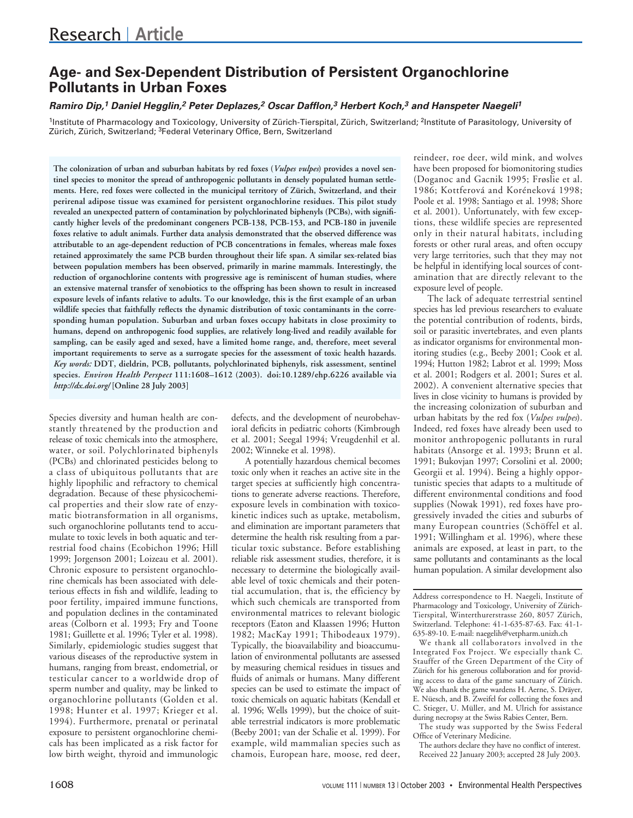# **Age- and Sex-Dependent Distribution of Persistent Organochlorine Pollutants in Urban Foxes**

## *Ramiro Dip,1 Daniel Hegglin,2 Peter Deplazes,2 Oscar Dafflon,3 Herbert Koch,3 and Hanspeter Naegeli1*

<sup>1</sup>Institute of Pharmacology and Toxicology, University of Zürich-Tierspital, Zürich, Switzerland; <sup>2</sup>Institute of Parasitology, University of Zürich, Zürich, Switzerland; 3Federal Veterinary Office, Bern, Switzerland

**The colonization of urban and suburban habitats by red foxes (***Vulpes vulpes***) provides a novel sentinel species to monitor the spread of anthropogenic pollutants in densely populated human settlements. Here, red foxes were collected in the municipal territory of Zürich, Switzerland, and their perirenal adipose tissue was examined for persistent organochlorine residues. This pilot study revealed an unexpected pattern of contamination by polychlorinated biphenyls (PCBs), with significantly higher levels of the predominant congeners PCB-138, PCB-153, and PCB-180 in juvenile foxes relative to adult animals. Further data analysis demonstrated that the observed difference was attributable to an age-dependent reduction of PCB concentrations in females, whereas male foxes retained approximately the same PCB burden throughout their life span. A similar sex-related bias between population members has been observed, primarily in marine mammals. Interestingly, the reduction of organochlorine contents with progressive age is reminiscent of human studies, where an extensive maternal transfer of xenobiotics to the offspring has been shown to result in increased exposure levels of infants relative to adults. To our knowledge, this is the first example of an urban wildlife species that faithfully reflects the dynamic distribution of toxic contaminants in the corresponding human population. Suburban and urban foxes occupy habitats in close proximity to humans, depend on anthropogenic food supplies, are relatively long-lived and readily available for sampling, can be easily aged and sexed, have a limited home range, and, therefore, meet several important requirements to serve as a surrogate species for the assessment of toxic health hazards.** *Key words:* **DDT, dieldrin, PCB, pollutants, polychlorinated biphenyls, risk assessment, sentinel species.** *Environ Health Perspect* **111:1608–1612 (2003). doi:10.1289/ehp.6226 available via** *http://dx.doi.org/* **[Online 28 July 2003]**

Species diversity and human health are constantly threatened by the production and release of toxic chemicals into the atmosphere, water, or soil. Polychlorinated biphenyls (PCBs) and chlorinated pesticides belong to a class of ubiquitous pollutants that are highly lipophilic and refractory to chemical degradation. Because of these physicochemical properties and their slow rate of enzymatic biotransformation in all organisms, such organochlorine pollutants tend to accumulate to toxic levels in both aquatic and terrestrial food chains (Ecobichon 1996; Hill 1999; Jorgenson 2001; Loizeau et al. 2001). Chronic exposure to persistent organochlorine chemicals has been associated with deleterious effects in fish and wildlife, leading to poor fertility, impaired immune functions, and population declines in the contaminated areas (Colborn et al. 1993; Fry and Toone 1981; Guillette et al. 1996; Tyler et al. 1998). Similarly, epidemiologic studies suggest that various diseases of the reproductive system in humans, ranging from breast, endometrial, or testicular cancer to a worldwide drop of sperm number and quality, may be linked to organochlorine pollutants (Golden et al. 1998; Hunter et al. 1997; Krieger et al. 1994). Furthermore, prenatal or perinatal exposure to persistent organochlorine chemicals has been implicated as a risk factor for low birth weight, thyroid and immunologic

defects, and the development of neurobehavioral deficits in pediatric cohorts (Kimbrough et al. 2001; Seegal 1994; Vreugdenhil et al. 2002; Winneke et al. 1998).

A potentially hazardous chemical becomes toxic only when it reaches an active site in the target species at sufficiently high concentrations to generate adverse reactions. Therefore, exposure levels in combination with toxicokinetic indices such as uptake, metabolism, and elimination are important parameters that determine the health risk resulting from a particular toxic substance. Before establishing reliable risk assessment studies, therefore, it is necessary to determine the biologically available level of toxic chemicals and their potential accumulation, that is, the efficiency by which such chemicals are transported from environmental matrices to relevant biologic receptors (Eaton and Klaassen 1996; Hutton 1982; MacKay 1991; Thibodeaux 1979). Typically, the bioavailability and bioaccumulation of environmental pollutants are assessed by measuring chemical residues in tissues and fluids of animals or humans. Many different species can be used to estimate the impact of toxic chemicals on aquatic habitats (Kendall et al. 1996; Wells 1999), but the choice of suitable terrestrial indicators is more problematic (Beeby 2001; van der Schalie et al. 1999). For example, wild mammalian species such as chamois, European hare, moose, red deer,

reindeer, roe deer, wild mink, and wolves have been proposed for biomonitoring studies (Doganoc and Gacnik 1995; Frøslie et al. 1986; Kottferová and Koréneková 1998; Poole et al. 1998; Santiago et al. 1998; Shore et al. 2001). Unfortunately, with few exceptions, these wildlife species are represented only in their natural habitats, including forests or other rural areas, and often occupy very large territories, such that they may not be helpful in identifying local sources of contamination that are directly relevant to the exposure level of people.

The lack of adequate terrestrial sentinel species has led previous researchers to evaluate the potential contribution of rodents, birds, soil or parasitic invertebrates, and even plants as indicator organisms for environmental monitoring studies (e.g., Beeby 2001; Cook et al. 1994; Hutton 1982; Labrot et al. 1999; Moss et al. 2001; Rodgers et al. 2001; Sures et al. 2002). A convenient alternative species that lives in close vicinity to humans is provided by the increasing colonization of suburban and urban habitats by the red fox (*Vulpes vulpes*). Indeed, red foxes have already been used to monitor anthropogenic pollutants in rural habitats (Ansorge et al. 1993; Brunn et al. 1991; Bukovjan 1997; Corsolini et al. 2000; Georgii et al. 1994). Being a highly opportunistic species that adapts to a multitude of different environmental conditions and food supplies (Nowak 1991), red foxes have progressively invaded the cities and suburbs of many European countries (Schöffel et al. 1991; Willingham et al. 1996), where these animals are exposed, at least in part, to the same pollutants and contaminants as the local human population. A similar development also

Address correspondence to H. Naegeli, Institute of Pharmacology and Toxicology, University of Zürich-Tierspital, Winterthurerstrasse 260, 8057 Zürich, Switzerland. Telephone: 41-1-635-87-63. Fax: 41-1- 635-89-10. E-mail: naegelih@vetpharm.unizh.ch

We thank all collaborators involved in the Integrated Fox Project. We especially thank C. Stauffer of the Green Department of the City of Zürich for his generous collaboration and for providing access to data of the game sanctuary of Zürich. We also thank the game wardens H. Aerne, S. Dräyer, E. Nüesch, and B. Zweifel for collecting the foxes and C. Stieger, U. Müller, and M. Ulrich for assistance during necropsy at the Swiss Rabies Center, Bern.

The study was supported by the Swiss Federal Office of Veterinary Medicine.

The authors declare they have no conflict of interest. Received 22 January 2003; accepted 28 July 2003.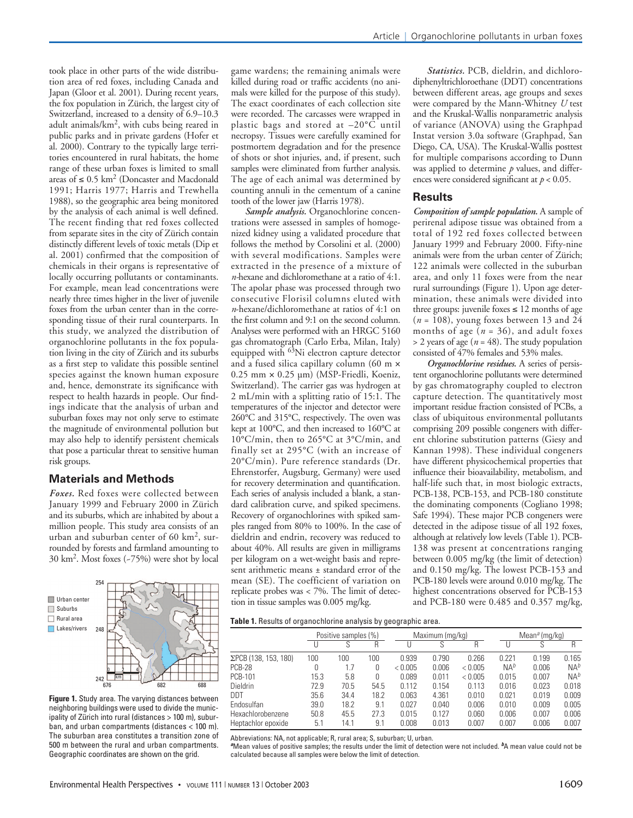took place in other parts of the wide distribution area of red foxes, including Canada and Japan (Gloor et al. 2001). During recent years, the fox population in Zürich, the largest city of Switzerland, increased to a density of 6.9–10.3 adult animals/km2, with cubs being reared in public parks and in private gardens (Hofer et al. 2000). Contrary to the typically large territories encountered in rural habitats, the home range of these urban foxes is limited to small areas of ≤ 0.5 km<sup>2</sup> (Doncaster and Macdonald 1991; Harris 1977; Harris and Trewhella 1988), so the geographic area being monitored by the analysis of each animal is well defined. The recent finding that red foxes collected from separate sites in the city of Zürich contain distinctly different levels of toxic metals (Dip et al. 2001) confirmed that the composition of chemicals in their organs is representative of locally occurring pollutants or contaminants. For example, mean lead concentrations were nearly three times higher in the liver of juvenile foxes from the urban center than in the corresponding tissue of their rural counterparts. In this study, we analyzed the distribution of organochlorine pollutants in the fox population living in the city of Zürich and its suburbs as a first step to validate this possible sentinel species against the known human exposure and, hence, demonstrate its significance with respect to health hazards in people. Our findings indicate that the analysis of urban and suburban foxes may not only serve to estimate the magnitude of environmental pollution but may also help to identify persistent chemicals that pose a particular threat to sensitive human risk groups.

# **Materials and Methods**

*Foxes.* Red foxes were collected between January 1999 and February 2000 in Zürich and its suburbs, which are inhabited by about a million people. This study area consists of an urban and suburban center of 60  $km^2$ , surrounded by forests and farmland amounting to 30 km2. Most foxes (~75%) were shot by local



**Figure 1.** Study area. The varying distances between neighboring buildings were used to divide the municipality of Zürich into rural (distances > 100 m), suburban, and urban compartments (distances < 100 m). The suburban area constitutes a transition zone of 500 m between the rural and urban compartments. Geographic coordinates are shown on the grid.

game wardens; the remaining animals were killed during road or traffic accidents (no animals were killed for the purpose of this study). The exact coordinates of each collection site were recorded. The carcasses were wrapped in plastic bags and stored at –20°C until necropsy. Tissues were carefully examined for postmortem degradation and for the presence of shots or shot injuries, and, if present, such samples were eliminated from further analysis. The age of each animal was determined by counting annuli in the cementum of a canine tooth of the lower jaw (Harris 1978).

*Sample analysis.* Organochlorine concentrations were assessed in samples of homogenized kidney using a validated procedure that follows the method by Corsolini et al. (2000) with several modifications. Samples were extracted in the presence of a mixture of *n-*hexane and dichloromethane at a ratio of 4:1. The apolar phase was processed through two consecutive Florisil columns eluted with *n*-hexane/dichloromethane at ratios of 4:1 on the first column and 9:1 on the second column. Analyses were performed with an HRGC 5160 gas chromatograph (Carlo Erba, Milan, Italy) equipped with <sup>63</sup>Ni electron capture detector and a fused silica capillary column (60 m ×  $0.25$  mm  $\times$   $0.25$   $\mu$ m) (MSP-Friedli, Koeniz, Switzerland). The carrier gas was hydrogen at 2 mL/min with a splitting ratio of 15:1. The temperatures of the injector and detector were 260°C and 315°C, respectively. The oven was kept at 100°C, and then increased to 160°C at 10°C/min, then to 265°C at 3°C/min, and finally set at 295°C (with an increase of 20°C/min). Pure reference standards (Dr. Ehrenstorfer, Augsburg, Germany) were used for recovery determination and quantification. Each series of analysis included a blank, a standard calibration curve, and spiked specimens. Recovery of organochlorines with spiked samples ranged from 80% to 100%. In the case of dieldrin and endrin, recovery was reduced to about 40%. All results are given in milligrams per kilogram on a wet-weight basis and represent arithmetic means ± standard error of the mean (SE). The coefficient of variation on replicate probes was < 7%. The limit of detection in tissue samples was 0.005 mg/kg.

*Statistics.* PCB, dieldrin, and dichlorodiphenyltrichloroethane (DDT) concentrations between different areas, age groups and sexes were compared by the Mann-Whitney *U* test and the Kruskal-Wallis nonparametric analysis of variance (ANOVA) using the Graphpad Instat version 3.0a software (Graphpad, San Diego, CA, USA). The Kruskal-Wallis posttest for multiple comparisons according to Dunn was applied to determine *p* values, and differences were considered significant at *p* < 0.05.

### **Results**

*Composition of sample population.* A sample of perirenal adipose tissue was obtained from a total of 192 red foxes collected between January 1999 and February 2000. Fifty-nine animals were from the urban center of Zürich; 122 animals were collected in the suburban area, and only 11 foxes were from the near rural surroundings (Figure 1). Upon age determination, these animals were divided into three groups: juvenile foxes  $\leq 12$  months of age  $(n = 108)$ , young foxes between 13 and 24 months of age  $(n = 36)$ , and adult foxes  $>$  2 years of age ( $n = 48$ ). The study population consisted of 47% females and 53% males.

*Organochlorine residues.* A series of persistent organochlorine pollutants were determined by gas chromatography coupled to electron capture detection. The quantitatively most important residue fraction consisted of PCBs, a class of ubiquitous environmental pollutants comprising 209 possible congeners with different chlorine substitution patterns (Giesy and Kannan 1998). These individual congeners have different physicochemical properties that influence their bioavailability, metabolism, and half-life such that, in most biologic extracts, PCB-138, PCB-153, and PCB-180 constitute the dominating components (Cogliano 1998; Safe 1994). These major PCB congeners were detected in the adipose tissue of all 192 foxes, although at relatively low levels (Table 1). PCB-138 was present at concentrations ranging between 0.005 mg/kg (the limit of detection) and 0.150 mg/kg. The lowest PCB-153 and PCB-180 levels were around 0.010 mg/kg. The highest concentrations observed for PCB-153 and PCB-180 were 0.485 and 0.357 mg/kg,

|  | Table 1. Results of organochlorine analysis by geographic area. |  |  |
|--|-----------------------------------------------------------------|--|--|
|  |                                                                 |  |  |

|                      |      | Positive samples (%) |      | Maximum (mg/kg) |       |         |        | Mean <sup>a</sup> (mg/kg) |        |  |
|----------------------|------|----------------------|------|-----------------|-------|---------|--------|---------------------------|--------|--|
|                      |      |                      | R    |                 |       | R       |        |                           | R      |  |
| ΣPCB (138, 153, 180) | 100  | 100                  | 100  | 0.939           | 0.790 | 0.266   | 0.221  | 0.199                     | 0.165  |  |
| PCB-28               | 0    | 1.7                  | 0    | < 0.005         | 0.006 | < 0.005 | $NA^b$ | 0.006                     | $NA^b$ |  |
| PCB-101              | 15.3 | 5.8                  |      | 0.089           | 0.011 | < 0.005 | 0.015  | 0.007                     | $NA^b$ |  |
| Dieldrin             | 72.9 | 70.5                 | 54.5 | 0.112           | 0.154 | 0.113   | 0.016  | 0.023                     | 0.018  |  |
| <b>DDT</b>           | 35.6 | 34.4                 | 18.2 | 0.063           | 4.361 | 0.010   | 0.021  | 0.019                     | 0.009  |  |
| Endosulfan           | 39.0 | 18.2                 | 9.1  | 0.027           | 0.040 | 0.006   | 0.010  | 0.009                     | 0.005  |  |
| Hexachlorobenzene    | 50.8 | 45.5                 | 27.3 | 0.015           | 0.127 | 0.060   | 0.006  | 0.007                     | 0.006  |  |
| Heptachlor epoxide   | 5.1  | 14.1                 | 9.1  | 0.008           | 0.013 | 0.007   | 0.007  | 0.006                     | 0.007  |  |

Abbreviations: NA, not applicable; R, rural area; S, suburban; U, urban.

*<sup>a</sup>*Mean values of positive samples; the results under the limit of detection were not included. *b*A mean value could not be calculated because all samples were below the limit of detection.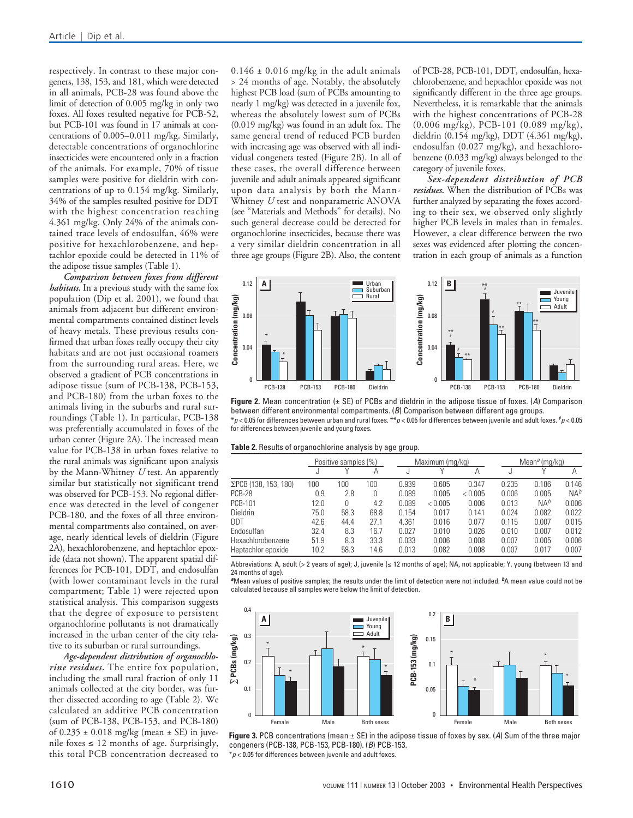respectively. In contrast to these major congeners, 138, 153, and 181, which were detected in all animals, PCB-28 was found above the limit of detection of 0.005 mg/kg in only two foxes. All foxes resulted negative for PCB-52, but PCB-101 was found in 17 animals at concentrations of 0.005–0.011 mg/kg. Similarly, detectable concentrations of organochlorine insecticides were encountered only in a fraction of the animals. For example, 70% of tissue samples were positive for dieldrin with concentrations of up to 0.154 mg/kg. Similarly, 34% of the samples resulted positive for DDT with the highest concentration reaching 4.361 mg/kg. Only 24% of the animals contained trace levels of endosulfan, 46% were positive for hexachlorobenzene, and heptachlor epoxide could be detected in 11% of the adipose tissue samples (Table 1).

*Comparison between foxes from different habitats.* In a previous study with the same fox population ( $\hat{D}$ ip et al. 2001), we found that animals from adjacent but different environmental compartments contained distinct levels of heavy metals. These previous results confirmed that urban foxes really occupy their city habitats and are not just occasional roamers from the surrounding rural areas. Here, we observed a gradient of PCB concentrations in adipose tissue (sum of PCB-138, PCB-153, and PCB-180) from the urban foxes to the animals living in the suburbs and rural surroundings (Table 1). In particular, PCB-138 was preferentially accumulated in foxes of the urban center (Figure 2A). The increased mean value for PCB-138 in urban foxes relative to the rural animals was significant upon analysis by the Mann-Whitney *U* test. An apparently similar but statistically not significant trend was observed for PCB-153. No regional difference was detected in the level of congener PCB-180, and the foxes of all three environmental compartments also contained, on average, nearly identical levels of dieldrin (Figure 2A), hexachlorobenzene, and heptachlor epoxide (data not shown). The apparent spatial differences for PCB-101, DDT, and endosulfan (with lower contaminant levels in the rural compartment; Table 1) were rejected upon statistical analysis. This comparison suggests that the degree of exposure to persistent organochlorine pollutants is not dramatically increased in the urban center of the city relative to its suburban or rural surroundings.

*Age-dependent distribution of organochlorine residues.* The entire fox population, including the small rural fraction of only 11 animals collected at the city border, was further dissected according to age (Table 2). We calculated an additive PCB concentration (sum of PCB-138, PCB-153, and PCB-180) of  $0.235 \pm 0.018$  mg/kg (mean  $\pm$  SE) in juvenile foxes  $\leq 12$  months of age. Surprisingly, this total PCB concentration decreased to  $0.146 \pm 0.016$  mg/kg in the adult animals > 24 months of age. Notably, the absolutely highest PCB load (sum of PCBs amounting to nearly 1 mg/kg) was detected in a juvenile fox, whereas the absolutely lowest sum of PCBs (0.019 mg/kg) was found in an adult fox. The same general trend of reduced PCB burden with increasing age was observed with all individual congeners tested (Figure 2B). In all of these cases, the overall difference between juvenile and adult animals appeared significant upon data analysis by both the Mann-Whitney *U* test and nonparametric ANOVA (see "Materials and Methods" for details). No such general decrease could be detected for organochlorine insecticides, because there was a very similar dieldrin concentration in all three age groups (Figure 2B). Also, the content

of PCB-28, PCB-101, DDT, endosulfan, hexachlorobenzene, and heptachlor epoxide was not significantly different in the three age groups. Nevertheless, it is remarkable that the animals with the highest concentrations of PCB-28 (0.006 mg/kg), PCB-101 (0.089 mg/kg), dieldrin (0.154 mg/kg), DDT (4.361 mg/kg), endosulfan (0.027 mg/kg), and hexachlorobenzene (0.033 mg/kg) always belonged to the category of juvenile foxes.

*Sex-dependent distribution of PCB residues.* When the distribution of PCBs was further analyzed by separating the foxes according to their sex, we observed only slightly higher PCB levels in males than in females. However, a clear difference between the two sexes was evidenced after plotting the concentration in each group of animals as a function



**Figure 2.** Mean concentration (± SE) of PCBs and dieldrin in the adipose tissue of foxes. (*A*) Comparison between different environmental compartments. (*B*) Comparison between different age groups. \**p* < 0.05 for differences between urban and rural foxes. \*\**p* < 0.05 for differences between juvenile and adult foxes. # *p* < 0.05 for differences between juvenile and young foxes.

| Table 2. Results of organochlorine analysis by age group. |  |
|-----------------------------------------------------------|--|
|-----------------------------------------------------------|--|

|                      | Positive samples (%) |      |      |       | Maximum (mg/kg) |         |       | Mean <sup>a</sup> (mg/kg) |                 |  |
|----------------------|----------------------|------|------|-------|-----------------|---------|-------|---------------------------|-----------------|--|
|                      |                      |      | Α    |       |                 | А       |       |                           | А               |  |
| ΣPCB (138, 153, 180) | 100                  | 100  | 100  | 0.939 | 0.605           | 0.347   | 0.235 | 0.186                     | 0.146           |  |
| PCB-28               | 0.9                  | 2.8  | 0    | 0.089 | 0.005           | < 0.005 | 0.006 | 0.005                     | NA <sup>b</sup> |  |
| <b>PCB-101</b>       | 12.0                 |      | 4.2  | 0.089 | < 0.005         | 0.006   | 0.013 | $NA^b$                    | 0.006           |  |
| <b>Dieldrin</b>      | 75.0                 | 58.3 | 68.8 | 0.154 | 0.017           | 0.141   | 0.024 | 0.082                     | 0.022           |  |
| DDT                  | 42.6                 | 44.4 | 27.1 | 4.361 | 0.016           | 0.077   | 0.115 | 0.007                     | 0.015           |  |
| Endosulfan           | 32.4                 | 8.3  | 16.7 | 0.027 | 0.010           | 0.026   | 0.010 | 0.007                     | 0.012           |  |
| Hexachlorobenzene    | 51.9                 | 8.3  | 33.3 | 0.033 | 0.006           | 0.008   | 0.007 | 0.005                     | 0.006           |  |
| Heptachlor epoxide   | 10.2                 | 58.3 | 14.6 | 0.013 | 0.082           | 0.008   | 0.007 | 0.017                     | 0.007           |  |

Abbreviations: A, adult (> 2 years of age); J, juvenile ( $\leq$  12 months of age); NA, not applicable; Y, young (between 13 and 24 months of age).

*<sup>a</sup>*Mean values of positive samples; the results under the limit of detection were not included. *b*A mean value could not be calculated because all samples were below the limit of detection.



**Figure 3.** PCB concentrations (mean ± SE) in the adipose tissue of foxes by sex. (*A*) Sum of the three major congeners (PCB-138, PCB-153, PCB-180). (*B*) PCB-153.

 $*p$  < 0.05 for differences between juvenile and adult foxes.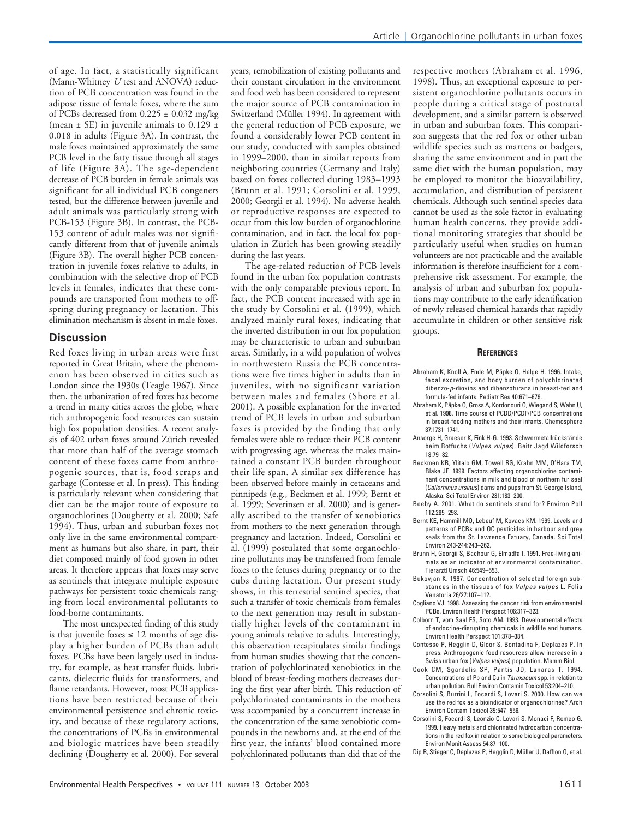of age. In fact, a statistically significant (Mann-Whitney *U* test and ANOVA) reduction of PCB concentration was found in the adipose tissue of female foxes, where the sum of PCBs decreased from  $0.225 \pm 0.032$  mg/kg (mean  $\pm$  SE) in juvenile animals to 0.129  $\pm$ 0.018 in adults (Figure 3A). In contrast, the male foxes maintained approximately the same PCB level in the fatty tissue through all stages of life (Figure 3A). The age-dependent decrease of PCB burden in female animals was significant for all individual PCB congeners tested, but the difference between juvenile and adult animals was particularly strong with PCB-153 (Figure 3B). In contrast, the PCB-153 content of adult males was not significantly different from that of juvenile animals (Figure 3B). The overall higher PCB concentration in juvenile foxes relative to adults, in combination with the selective drop of PCB levels in females, indicates that these compounds are transported from mothers to offspring during pregnancy or lactation. This elimination mechanism is absent in male foxes.

#### **Discussion**

Red foxes living in urban areas were first reported in Great Britain, where the phenomenon has been observed in cities such as London since the 1930s (Teagle 1967). Since then, the urbanization of red foxes has become a trend in many cities across the globe, where rich anthropogenic food resources can sustain high fox population densities. A recent analysis of 402 urban foxes around Zürich revealed that more than half of the average stomach content of these foxes came from anthropogenic sources, that is, food scraps and garbage (Contesse et al. In press). This finding is particularly relevant when considering that diet can be the major route of exposure to organochlorines (Dougherty et al. 2000; Safe 1994). Thus, urban and suburban foxes not only live in the same environmental compartment as humans but also share, in part, their diet composed mainly of food grown in other areas. It therefore appears that foxes may serve as sentinels that integrate multiple exposure pathways for persistent toxic chemicals ranging from local environmental pollutants to food-borne contaminants.

The most unexpected finding of this study is that juvenile foxes  $≤ 12$  months of age display a higher burden of PCBs than adult foxes. PCBs have been largely used in industry, for example, as heat transfer fluids, lubricants, dielectric fluids for transformers, and flame retardants. However, most PCB applications have been restricted because of their environmental persistence and chronic toxicity, and because of these regulatory actions, the concentrations of PCBs in environmental and biologic matrices have been steadily declining (Dougherty et al. 2000). For several years, remobilization of existing pollutants and their constant circulation in the environment and food web has been considered to represent the major source of PCB contamination in Switzerland (Müller 1994). In agreement with the general reduction of PCB exposure, we found a considerably lower PCB content in our study, conducted with samples obtained in 1999–2000, than in similar reports from neighboring countries (Germany and Italy) based on foxes collected during 1983–1993 (Brunn et al. 1991; Corsolini et al. 1999, 2000; Georgii et al. 1994). No adverse health or reproductive responses are expected to occur from this low burden of organochlorine contamination, and in fact, the local fox population in Zürich has been growing steadily during the last years.

The age-related reduction of PCB levels found in the urban fox population contrasts with the only comparable previous report. In fact, the PCB content increased with age in the study by Corsolini et al. (1999), which analyzed mainly rural foxes, indicating that the inverted distribution in our fox population may be characteristic to urban and suburban areas. Similarly, in a wild population of wolves in northwestern Russia the PCB concentrations were five times higher in adults than in juveniles, with no significant variation between males and females (Shore et al. 2001). A possible explanation for the inverted trend of PCB levels in urban and suburban foxes is provided by the finding that only females were able to reduce their PCB content with progressing age, whereas the males maintained a constant PCB burden throughout their life span. A similar sex difference has been observed before mainly in cetaceans and pinnipeds (e.g., Beckmen et al. 1999; Bernt et al. 1999; Severinsen et al. 2000) and is generally ascribed to the transfer of xenobiotics from mothers to the next generation through pregnancy and lactation. Indeed, Corsolini et al. (1999) postulated that some organochlorine pollutants may be transferred from female foxes to the fetuses during pregnancy or to the cubs during lactation. Our present study shows, in this terrestrial sentinel species, that such a transfer of toxic chemicals from females to the next generation may result in substantially higher levels of the contaminant in young animals relative to adults. Interestingly, this observation recapitulates similar findings from human studies showing that the concentration of polychlorinated xenobiotics in the blood of breast-feeding mothers decreases during the first year after birth. This reduction of polychlorinated contaminants in the mothers was accompanied by a concurrent increase in the concentration of the same xenobiotic compounds in the newborns and, at the end of the first year, the infants' blood contained more polychlorinated pollutants than did that of the

respective mothers (Abraham et al. 1996, 1998). Thus, an exceptional exposure to persistent organochlorine pollutants occurs in people during a critical stage of postnatal development, and a similar pattern is observed in urban and suburban foxes. This comparison suggests that the red fox or other urban wildlife species such as martens or badgers, sharing the same environment and in part the same diet with the human population, may be employed to monitor the bioavailability, accumulation, and distribution of persistent chemicals. Although such sentinel species data cannot be used as the sole factor in evaluating human health concerns, they provide additional monitoring strategies that should be particularly useful when studies on human volunteers are not practicable and the available information is therefore insufficient for a comprehensive risk assessment. For example, the analysis of urban and suburban fox populations may contribute to the early identification of newly released chemical hazards that rapidly accumulate in children or other sensitive risk groups.

#### **REFERENCES**

- Abraham K, Knoll A, Ende M, Päpke O, Helge H. 1996. Intake, fecal excretion, and body burden of polychlorinated dibenzo-*p*-dioxins and dibenzofurans in breast-fed and formula-fed infants. Pediatr Res 40:671–679.
- Abraham K, Päpke O, Gross A, Kordonouri O, Wiegand S, Wahn U, et al. 1998. Time course of PCDD/PCDF/PCB concentrations in breast-feeding mothers and their infants. Chemosphere 37:1731–1741.
- Ansorge H, Graeser K, Fink H-G. 1993. Schwermetallrückstände beim Rotfuchs (*Vulpes vulpes*). Beitr Jagd Wildforsch 18:79–82.
- Beckmen KB, Ylitalo GM, Towell RG, Krahn MM, O'Hara TM, Blake JE. 1999. Factors affecting organochlorine contaminant concentrations in milk and blood of northern fur seal (*Callorhinus ursinus*) dams and pups from St. George Island, Alaska. Sci Total Environ 231:183–200.
- Beeby A. 2001. What do sentinels stand for? Environ Poll 112:285–298.
- Bernt KE, Hammill MO, Lebeuf M, Kovacs KM. 1999. Levels and patterns of PCBs and OC pesticides in harbour and grey seals from the St. Lawrence Estuary, Canada. Sci Total Environ 243-244:243–262.
- Brunn H, Georgii S, Bachour G, Elmadfa I. 1991. Free-living animals as an indicator of environmental contamination. Tierarztl Umsch 46:549–553.
- Bukovjan K. 1997. Concentration of selected foreign substances in the tissues of fox *Vulpes vulpes* L. Folia Venatoria 26/27:107–112.
- Cogliano VJ. 1998. Assessing the cancer risk from environmental PCBs. Environ Health Perspect 106:317–323.
- Colborn T, vom Saal FS, Soto AM. 1993. Developmental effects of endocrine-disrupting chemicals in wildlife and humans. Environ Health Perspect 101:378–384.
- Contesse P, Hegglin D, Gloor S, Bontadina F, Deplazes P. In press. Anthropogenic food resources allow increase in a Swiss urban fox (*Vulpes vulpes*) population. Mamm Biol.
- Cook CM, Sgardelis SP, Pantis JD, Lanaras T. 1994. Concentrations of Pb and Cu in *Taraxacum* spp. in relation to urban pollution. Bull Environ Contamin Toxicol 53:204–210.
- Corsolini S, Burrini L, Focardi S, Lovari S. 2000. How can we use the red fox as a bioindicator of organochlorines? Arch Environ Contam Toxicol 39:547–556.
- Corsolini S, Focardi S, Leonzio C, Lovari S, Monaci F, Romeo G. 1999. Heavy metals and chlorinated hydrocarbon concentrations in the red fox in relation to some biological parameters. Environ Monit Assess 54:87–100.
- Dip R, Stieger C, Deplazes P, Hegglin D, Müller U, Dafflon O, et al.